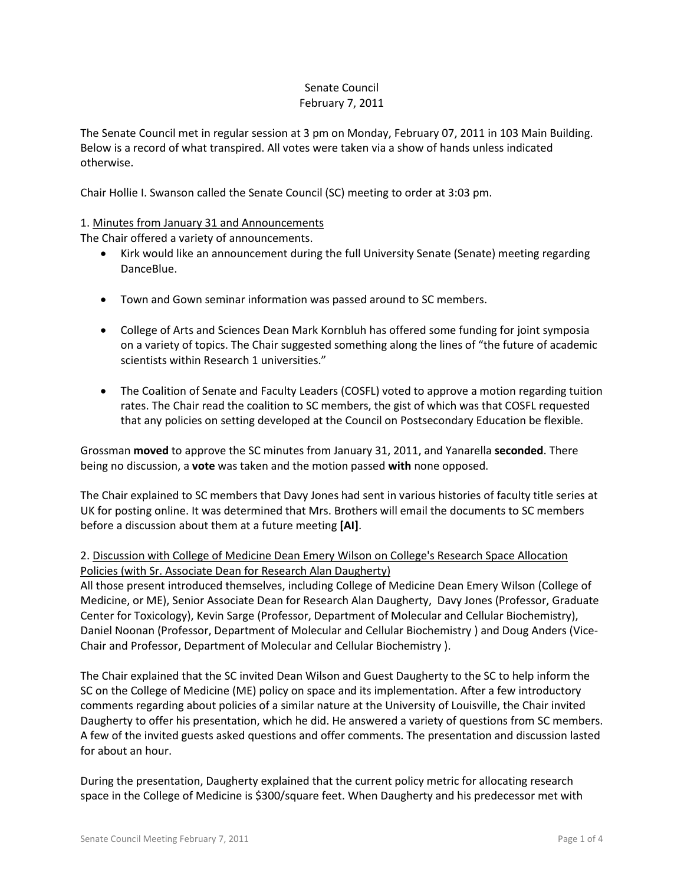### Senate Council February 7, 2011

The Senate Council met in regular session at 3 pm on Monday, February 07, 2011 in 103 Main Building. Below is a record of what transpired. All votes were taken via a show of hands unless indicated otherwise.

Chair Hollie I. Swanson called the Senate Council (SC) meeting to order at 3:03 pm.

## 1. Minutes from January 31 and Announcements

The Chair offered a variety of announcements.

- Kirk would like an announcement during the full University Senate (Senate) meeting regarding DanceBlue.
- Town and Gown seminar information was passed around to SC members.
- College of Arts and Sciences Dean Mark Kornbluh has offered some funding for joint symposia on a variety of topics. The Chair suggested something along the lines of "the future of academic scientists within Research 1 universities."
- The Coalition of Senate and Faculty Leaders (COSFL) voted to approve a motion regarding tuition rates. The Chair read the coalition to SC members, the gist of which was that COSFL requested that any policies on setting developed at the Council on Postsecondary Education be flexible.

Grossman **moved** to approve the SC minutes from January 31, 2011, and Yanarella **seconded**. There being no discussion, a **vote** was taken and the motion passed **with** none opposed.

The Chair explained to SC members that Davy Jones had sent in various histories of faculty title series at UK for posting online. It was determined that Mrs. Brothers will email the documents to SC members before a discussion about them at a future meeting **[AI]**.

# 2. Discussion with College of Medicine Dean Emery Wilson on College's Research Space Allocation Policies (with Sr. Associate Dean for Research Alan Daugherty)

All those present introduced themselves, including College of Medicine Dean Emery Wilson (College of Medicine, or ME), Senior Associate Dean for Research Alan Daugherty, Davy Jones (Professor, Graduate Center for Toxicology), Kevin Sarge (Professor, Department of Molecular and Cellular Biochemistry), Daniel Noonan (Professor, Department of Molecular and Cellular Biochemistry ) and Doug Anders (Vice-Chair and Professor, Department of Molecular and Cellular Biochemistry ).

The Chair explained that the SC invited Dean Wilson and Guest Daugherty to the SC to help inform the SC on the College of Medicine (ME) policy on space and its implementation. After a few introductory comments regarding about policies of a similar nature at the University of Louisville, the Chair invited Daugherty to offer his presentation, which he did. He answered a variety of questions from SC members. A few of the invited guests asked questions and offer comments. The presentation and discussion lasted for about an hour.

During the presentation, Daugherty explained that the current policy metric for allocating research space in the College of Medicine is \$300/square feet. When Daugherty and his predecessor met with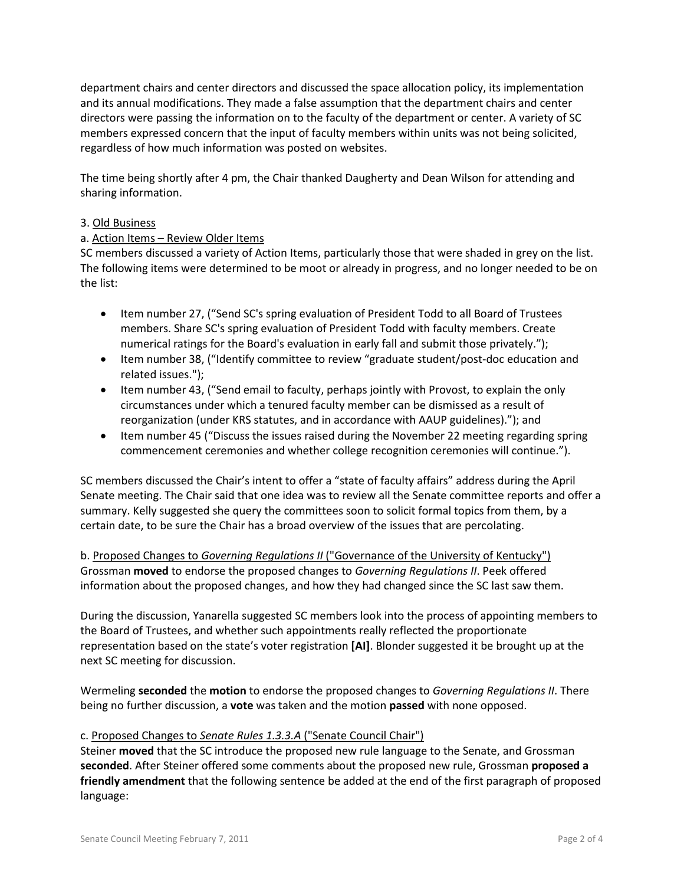department chairs and center directors and discussed the space allocation policy, its implementation and its annual modifications. They made a false assumption that the department chairs and center directors were passing the information on to the faculty of the department or center. A variety of SC members expressed concern that the input of faculty members within units was not being solicited, regardless of how much information was posted on websites.

The time being shortly after 4 pm, the Chair thanked Daugherty and Dean Wilson for attending and sharing information.

## 3. Old Business

# a. Action Items – Review Older Items

SC members discussed a variety of Action Items, particularly those that were shaded in grey on the list. The following items were determined to be moot or already in progress, and no longer needed to be on the list:

- Item number 27, ("Send SC's spring evaluation of President Todd to all Board of Trustees members. Share SC's spring evaluation of President Todd with faculty members. Create numerical ratings for the Board's evaluation in early fall and submit those privately.");
- Item number 38, ("Identify committee to review "graduate student/post-doc education and related issues.");
- Item number 43, ("Send email to faculty, perhaps jointly with Provost, to explain the only circumstances under which a tenured faculty member can be dismissed as a result of reorganization (under KRS statutes, and in accordance with AAUP guidelines)."); and
- Item number 45 ("Discuss the issues raised during the November 22 meeting regarding spring commencement ceremonies and whether college recognition ceremonies will continue.").

SC members discussed the Chair's intent to offer a "state of faculty affairs" address during the April Senate meeting. The Chair said that one idea was to review all the Senate committee reports and offer a summary. Kelly suggested she query the committees soon to solicit formal topics from them, by a certain date, to be sure the Chair has a broad overview of the issues that are percolating.

b. Proposed Changes to *Governing Regulations II* ("Governance of the University of Kentucky") Grossman **moved** to endorse the proposed changes to *Governing Regulations II*. Peek offered information about the proposed changes, and how they had changed since the SC last saw them.

During the discussion, Yanarella suggested SC members look into the process of appointing members to the Board of Trustees, and whether such appointments really reflected the proportionate representation based on the state's voter registration **[AI]**. Blonder suggested it be brought up at the next SC meeting for discussion.

Wermeling **seconded** the **motion** to endorse the proposed changes to *Governing Regulations II*. There being no further discussion, a **vote** was taken and the motion **passed** with none opposed.

## c. Proposed Changes to *Senate Rules 1.3.3.A* ("Senate Council Chair")

Steiner **moved** that the SC introduce the proposed new rule language to the Senate, and Grossman **seconded**. After Steiner offered some comments about the proposed new rule, Grossman **proposed a friendly amendment** that the following sentence be added at the end of the first paragraph of proposed language: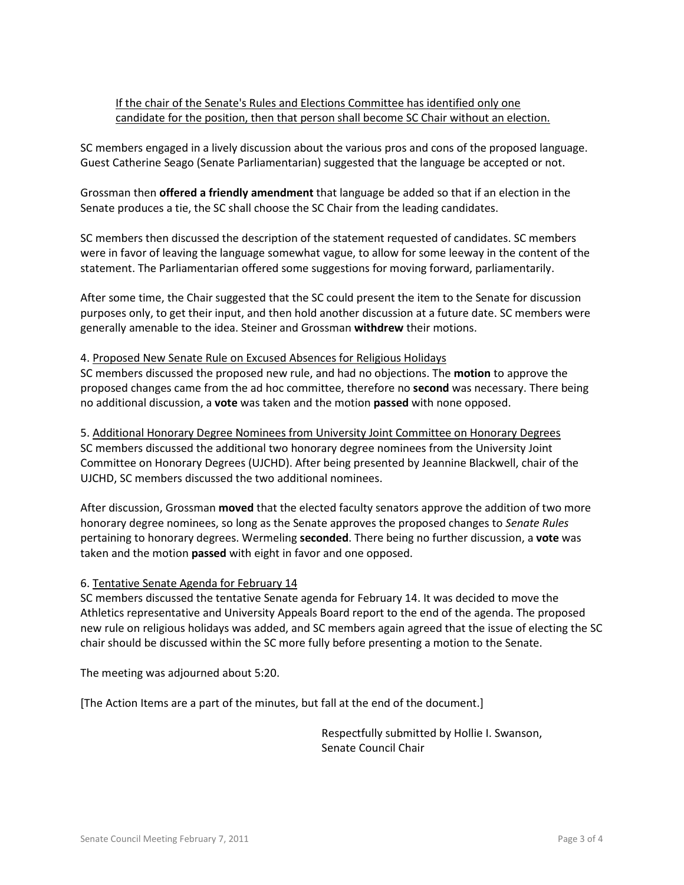# If the chair of the Senate's Rules and Elections Committee has identified only one candidate for the position, then that person shall become SC Chair without an election.

SC members engaged in a lively discussion about the various pros and cons of the proposed language. Guest Catherine Seago (Senate Parliamentarian) suggested that the language be accepted or not.

Grossman then **offered a friendly amendment** that language be added so that if an election in the Senate produces a tie, the SC shall choose the SC Chair from the leading candidates.

SC members then discussed the description of the statement requested of candidates. SC members were in favor of leaving the language somewhat vague, to allow for some leeway in the content of the statement. The Parliamentarian offered some suggestions for moving forward, parliamentarily.

After some time, the Chair suggested that the SC could present the item to the Senate for discussion purposes only, to get their input, and then hold another discussion at a future date. SC members were generally amenable to the idea. Steiner and Grossman **withdrew** their motions.

#### 4. Proposed New Senate Rule on Excused Absences for Religious Holidays

SC members discussed the proposed new rule, and had no objections. The **motion** to approve the proposed changes came from the ad hoc committee, therefore no **second** was necessary. There being no additional discussion, a **vote** was taken and the motion **passed** with none opposed.

5. Additional Honorary Degree Nominees from University Joint Committee on Honorary Degrees SC members discussed the additional two honorary degree nominees from the University Joint Committee on Honorary Degrees (UJCHD). After being presented by Jeannine Blackwell, chair of the UJCHD, SC members discussed the two additional nominees.

After discussion, Grossman **moved** that the elected faculty senators approve the addition of two more honorary degree nominees, so long as the Senate approves the proposed changes to *Senate Rules* pertaining to honorary degrees. Wermeling **seconded**. There being no further discussion, a **vote** was taken and the motion **passed** with eight in favor and one opposed.

#### 6. Tentative Senate Agenda for February 14

SC members discussed the tentative Senate agenda for February 14. It was decided to move the Athletics representative and University Appeals Board report to the end of the agenda. The proposed new rule on religious holidays was added, and SC members again agreed that the issue of electing the SC chair should be discussed within the SC more fully before presenting a motion to the Senate.

The meeting was adjourned about 5:20.

[The Action Items are a part of the minutes, but fall at the end of the document.]

Respectfully submitted by Hollie I. Swanson, Senate Council Chair